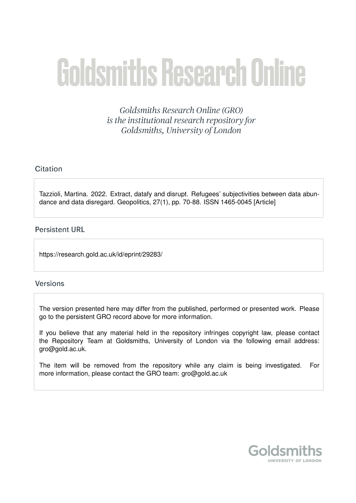# **Goldsmiths Research Online**

Goldsmiths Research Online (GRO) is the institutional research repository for Goldsmiths, University of London

# Citation

Tazzioli, Martina. 2022. Extract, datafy and disrupt. Refugees' subjectivities between data abundance and data disregard. Geopolitics, 27(1), pp. 70-88. ISSN 1465-0045 [Article]

## **Persistent URL**

https://research.gold.ac.uk/id/eprint/29283/

## **Versions**

The version presented here may differ from the published, performed or presented work. Please go to the persistent GRO record above for more information.

If you believe that any material held in the repository infringes copyright law, please contact the Repository Team at Goldsmiths, University of London via the following email address: gro@gold.ac.uk.

The item will be removed from the repository while any claim is being investigated. For more information, please contact the GRO team: gro@gold.ac.uk

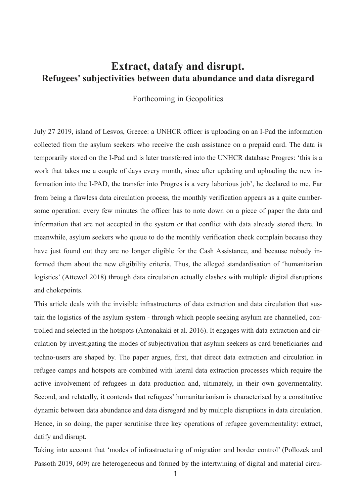# **Extract, datafy and disrupt. Refugees' subjectivities between data abundance and data disregard**

Forthcoming in Geopolitics

July 27 2019, island of Lesvos, Greece: a UNHCR officer is uploading on an I-Pad the information collected from the asylum seekers who receive the cash assistance on a prepaid card. The data is temporarily stored on the I-Pad and is later transferred into the UNHCR database Progres: 'this is a work that takes me a couple of days every month, since after updating and uploading the new information into the I-PAD, the transfer into Progres is a very laborious job', he declared to me. Far from being a flawless data circulation process, the monthly verification appears as a quite cumbersome operation: every few minutes the officer has to note down on a piece of paper the data and information that are not accepted in the system or that conflict with data already stored there. In meanwhile, asylum seekers who queue to do the monthly verification check complain because they have just found out they are no longer eligible for the Cash Assistance, and because nobody informed them about the new eligibility criteria. Thus, the alleged standardisation of 'humanitarian logistics' (Attewel 2018) through data circulation actually clashes with multiple digital disruptions and chokepoints.

**T**his article deals with the invisible infrastructures of data extraction and data circulation that sustain the logistics of the asylum system - through which people seeking asylum are channelled, controlled and selected in the hotspots (Antonakaki et al. 2016). It engages with data extraction and circulation by investigating the modes of subjectivation that asylum seekers as card beneficiaries and techno-users are shaped by. The paper argues, first, that direct data extraction and circulation in refugee camps and hotspots are combined with lateral data extraction processes which require the active involvement of refugees in data production and, ultimately, in their own govermentality. Second, and relatedly, it contends that refugees' humanitarianism is characterised by a constitutive dynamic between data abundance and data disregard and by multiple disruptions in data circulation. Hence, in so doing, the paper scrutinise three key operations of refugee governmentality: extract, datify and disrupt.

Taking into account that 'modes of infrastructuring of migration and border control' (Pollozek and Passoth 2019, 609) are heterogeneous and formed by the intertwining of digital and material circu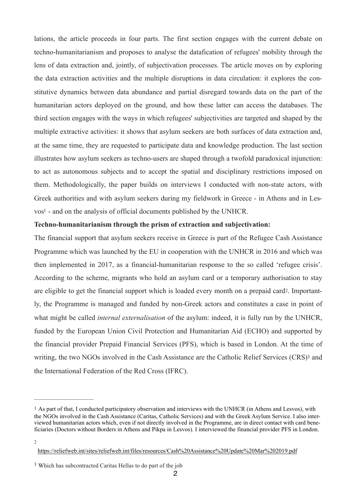lations, the article proceeds in four parts. The first section engages with the current debate on techno-humanitarianism and proposes to analyse the datafication of refugees' mobility through the lens of data extraction and, jointly, of subjectivation processes. The article moves on by exploring the data extraction activities and the multiple disruptions in data circulation: it explores the constitutive dynamics between data abundance and partial disregard towards data on the part of the humanitarian actors deployed on the ground, and how these latter can access the databases. The third section engages with the ways in which refugees' subjectivities are targeted and shaped by the multiple extractive activities: it shows that asylum seekers are both surfaces of data extraction and, at the same time, they are requested to participate data and knowledge production. The last section illustrates how asylum seekers as techno-users are shaped through a twofold paradoxical injunction: to act as autonomous subjects and to accept the spatial and disciplinary restrictions imposed on them. Methodologically, the paper builds on interviews I conducted with non-state actors, with Greek authorities and with asylum seekers during my fieldwork in Greece - in Athens and in Lesvo[s](#page-2-0)<sup>1</sup> - and on the analysis of official documents published by the UNHCR.

#### <span id="page-2-3"></span>**Techno-humanitarianism through the prism of extraction and subjectivation:**

<span id="page-2-4"></span>The financial support that asylum seekers receive in Greece is part of the Refugee Cash Assistance Programme which was launched by the EU in cooperation with the UNHCR in 2016 and which was then implemented in 2017, as a financial-humanitarian response to the so called 'refugee crisis'. According to the scheme, migrants who hold an asylum card or a temporary authorisation to stay are eligible to get the financial support which is loaded every month on a prepaid card[2.](#page-2-1) Importantly, the Programme is managed and funded by non-Greek actors and constitutes a case in point of what might be called *internal externalisation* of the asylum: indeed, it is fully run by the UNHCR, funded by the European Union Civil Protection and Humanitarian Aid (ECHO) and supported by the financial provider Prepaid Financial Services (PFS), which is based in London. At the time of writing, the two NGOs involved in the Cash Assistance are the Catholic Relief Services (CRS)<sup>3</sup> and the International Federation of the Red Cross (IFRC).

<span id="page-2-5"></span><span id="page-2-0"></span>[<sup>1</sup>](#page-2-3) As part of that, I conducted participatory observation and interviews with the UNHCR (in Athens and Lesvos), with the NGOs involved in the Cash Assistance (Caritas, Catholic Services) and with the Greek Asylum Service. I also interviewed humanitarian actors which, even if not directly involved in the Programme, are in direct contact with card beneficiaries (Doctors without Borders in Athens and Pikpa in Lesvos). I interviewed the financial provider PFS in London.

<span id="page-2-1"></span>[2](#page-2-4)

[https://reliefweb.int/sites/reliefweb.int/files/resources/Cash%20Assistance%20Update%20Mar%202019.pdf](https://reliefweb.int/sites/reliefweb.int/files/resources/Cash%25252525252525252520Assistance%25252525252525252520Update%25252525252525252520Mar%252525252525252525202019.pdf)

<span id="page-2-2"></span><sup>&</sup>lt;sup>[3](#page-2-5)</sup> Which has subcontracted Caritas Hellas to do part of the job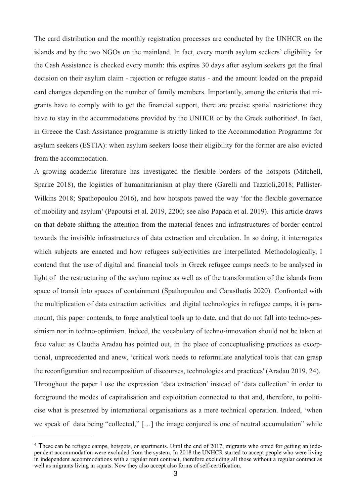The card distribution and the monthly registration processes are conducted by the UNHCR on the islands and by the two NGOs on the mainland. In fact, every month asylum seekers' eligibility for the Cash Assistance is checked every month: this expires 30 days after asylum seekers get the final decision on their asylum claim - rejection or refugee status - and the amount loaded on the prepaid card changes depending on the number of family members. Importantly, among the criteria that migrants have to comply with to get the financial support, there are precise spatial restrictions: they have to stay in the accommodations provided by the UNHCR or by the Greek authorities<sup>[4](#page-3-0)</sup>. In fact, in Greece the Cash Assistance programme is strictly linked to the Accommodation Programme for asylum seekers (ESTIA): when asylum seekers loose their eligibility for the former are also evicted from the accommodation.

<span id="page-3-1"></span>A growing academic literature has investigated the flexible borders of the hotspots (Mitchell, Sparke 2018), the logistics of humanitarianism at play there (Garelli and Tazzioli,2018; Pallister-Wilkins 2018; Spathopoulou 2016), and how hotspots pawed the way 'for the flexible governance of mobility and asylum' (Papoutsi et al. 2019, 2200; see also Papada et al. 2019). This article draws on that debate shifting the attention from the material fences and infrastructures of border control towards the invisible infrastructures of data extraction and circulation. In so doing, it interrogates which subjects are enacted and how refugees subjectivities are interpellated. Methodologically, I contend that the use of digital and financial tools in Greek refugee camps needs to be analysed in light of the restructuring of the asylum regime as well as of the transformation of the islands from space of transit into spaces of containment (Spathopoulou and Carasthatis 2020). Confronted with the multiplication of data extraction activities and digital technologies in refugee camps, it is paramount, this paper contends, to forge analytical tools up to date, and that do not fall into techno-pessimism nor in techno-optimism. Indeed, the vocabulary of techno-innovation should not be taken at face value: as Claudia Aradau has pointed out, in the place of conceptualising practices as exceptional, unprecedented and anew, 'critical work needs to reformulate analytical tools that can grasp the reconfiguration and recomposition of discourses, technologies and practices' (Aradau 2019, 24). Throughout the paper I use the expression 'data extraction' instead of 'data collection' in order to foreground the modes of capitalisation and exploitation connected to that and, therefore, to politicise what is presented by international organisations as a mere technical operation. Indeed, 'when we speak of data being "collected," […] the image conjured is one of neutral accumulation" while

<span id="page-3-0"></span> $4$  These can be refugee camps, hotspots, or apartments. Until the end of 2017, migrants who opted for getting an independent accommodation were excluded from the system. In 2018 the UNHCR started to accept people who were living in independent accommodations with a regular rent contract, therefore excluding all those without a regular contract as well as migrants living in squats. Now they also accept also forms of self-certification.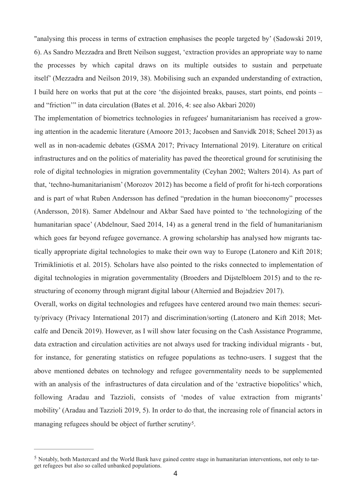"analysing this process in terms of extraction emphasises the people targeted by' (Sadowski 2019, 6). As Sandro Mezzadra and Brett Neilson suggest, 'extraction provides an appropriate way to name the processes by which capital draws on its multiple outsides to sustain and perpetuate itself' (Mezzadra and Neilson 2019, 38). Mobilising such an expanded understanding of extraction, I build here on works that put at the core 'the disjointed breaks, pauses, start points, end points – and "friction'" in data circulation (Bates et al. 2016, 4: see also Akbari 2020)

The implementation of biometrics technologies in refugees' humanitarianism has received a growing attention in the academic literature (Amoore 2013; Jacobsen and Sanvidk 2018; Scheel 2013) as well as in non-academic debates (GSMA 2017; Privacy International 2019). Literature on critical infrastructures and on the politics of materiality has paved the theoretical ground for scrutinising the role of digital technologies in migration governmentality (Ceyhan 2002; Walters 2014). As part of that, 'techno-humanitarianism' (Morozov 2012) has become a field of profit for hi-tech corporations and is part of what Ruben Andersson has defined "predation in the human bioeconomy" processes (Andersson, 2018). Samer Abdelnour and Akbar Saed have pointed to 'the technologizing of the humanitarian space' (Abdelnour, Saed 2014, 14) as a general trend in the field of humanitarianism which goes far beyond refugee governance. A growing scholarship has analysed how migrants tactically appropriate digital technologies to make their own way to Europe (Latonero and Kift 2018; Trimikliniotis et al. 2015). Scholars have also pointed to the risks connected to implementation of digital technologies in migration governmentality (Broeders and Dijstelbloem 2015) and to the restructuring of economy through migrant digital labour (Alternied and Bojadziev 2017).

Overall, works on digital technologies and refugees have centered around two main themes: security/privacy (Privacy International 2017) and discrimination/sorting (Latonero and Kift 2018; Metcalfe and Dencik 2019). However, as I will show later focusing on the Cash Assistance Programme, data extraction and circulation activities are not always used for tracking individual migrants - but, for instance, for generating statistics on refugee populations as techno-users. I suggest that the above mentioned debates on technology and refugee governmentality needs to be supplemented with an analysis of the infrastructures of data circulation and of the 'extractive biopolitics' which, following Aradau and Tazzioli, consists of 'modes of value extraction from migrants' mobility' (Aradau and Tazzioli 2019, 5). In order to do that, the increasing role of financial actors in managing refugees should be object of further scrutiny<sup>5</sup>[.](#page-4-0)

<span id="page-4-1"></span><span id="page-4-0"></span><sup>&</sup>lt;sup>[5](#page-4-1)</sup> Notably, both Mastercard and the World Bank have gained centre stage in humanitarian interventions, not only to target refugees but also so called unbanked populations.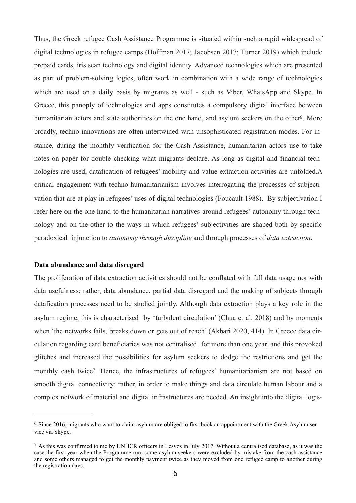<span id="page-5-2"></span>Thus, the Greek refugee Cash Assistance Programme is situated within such a rapid widespread of digital technologies in refugee camps (Hoffman 2017; Jacobsen 2017; Turner 2019) which include prepaid cards, iris scan technology and digital identity. Advanced technologies which are presented as part of problem-solving logics, often work in combination with a wide range of technologies which are used on a daily basis by migrants as well - such as Viber, WhatsApp and Skype. In Greece, this panoply of technologies and apps constitutes a compulsory digital interface between humanitarian actors and state authorities on the one hand, and asylum seekers on the other<sup>[6](#page-5-0)</sup>. More broadly, techno-innovations are often intertwined with unsophisticated registration modes. For instance, during the monthly verification for the Cash Assistance, humanitarian actors use to take notes on paper for double checking what migrants declare. As long as digital and financial technologies are used, datafication of refugees' mobility and value extraction activities are unfolded.A critical engagement with techno-humanitarianism involves interrogating the processes of subjectivation that are at play in refugees' uses of digital technologies (Foucault 1988). By subjectivation I refer here on the one hand to the humanitarian narratives around refugees' autonomy through technology and on the other to the ways in which refugees' subjectivities are shaped both by specific paradoxical injunction to *autonomy through discipline* and through processes of *data extraction*.

#### **Data abundance and data disregard**

The proliferation of data extraction activities should not be conflated with full data usage nor with data usefulness: rather, data abundance, partial data disregard and the making of subjects through datafication processes need to be studied jointly. Although data extraction plays a key role in the asylum regime, this is characterised by 'turbulent circulation' (Chua et al. 2018) and by moments when 'the networks fails, breaks down or gets out of reach' (Akbari 2020, 414). In Greece data circulation regarding card beneficiaries was not centralised for more than one year, and this provoked glitches and increased the possibilities for asylum seekers to dodge the restrictions and get the monthly cash twice<sup>[7](#page-5-1)</sup>. Hence, the infrastructures of refugees' humanitarianism are not based on smooth digital connectivity: rather, in order to make things and data circulate human labour and a complex network of material and digital infrastructures are needed. An insight into the digital logis-

<span id="page-5-3"></span><span id="page-5-0"></span> $<sup>6</sup>$  $<sup>6</sup>$  $<sup>6</sup>$  Since 2016, migrants who want to claim asylum are obliged to first book an appointment with the Greek Asylum ser-</sup> vice via Skype.

<span id="page-5-1"></span> $^7$  $^7$  As this was confirmed to me by UNHCR officers in Lesvos in July 2017. Without a centralised database, as it was the case the first year when the Programme run, some asylum seekers were excluded by mistake from the cash assistance and some others managed to get the monthly payment twice as they moved from one refugee camp to another during the registration days.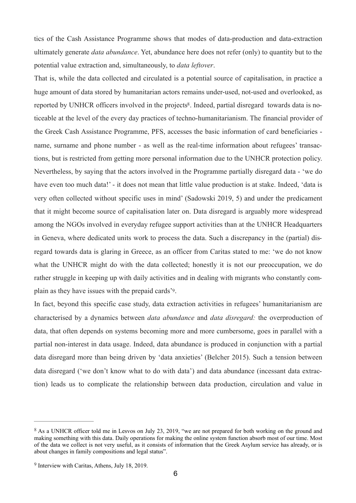tics of the Cash Assistance Programme shows that modes of data-production and data-extraction ultimately generate *data abundance*. Yet, abundance here does not refer (only) to quantity but to the potential value extraction and, simultaneously, to *data leftover*.

<span id="page-6-2"></span>That is, while the data collected and circulated is a potential source of capitalisation, in practice a huge amount of data stored by humanitarian actors remains under-used, not-used and overlooked, as reported by UNHCR officers involved in the projects<sup>8</sup>. Indeed, partial disregard towards data is noticeable at the level of the every day practices of techno-humanitarianism. The financial provider of the Greek Cash Assistance Programme, PFS, accesses the basic information of card beneficiaries name, surname and phone number - as well as the real-time information about refugees' transactions, but is restricted from getting more personal information due to the UNHCR protection policy. Nevertheless, by saying that the actors involved in the Programme partially disregard data - 'we do have even too much data!' - it does not mean that little value production is at stake. Indeed, 'data is very often collected without specific uses in mind' (Sadowski 2019, 5) and under the predicament that it might become source of capitalisation later on. Data disregard is arguably more widespread among the NGOs involved in everyday refugee support activities than at the UNHCR Headquarters in Geneva, where dedicated units work to process the data. Such a discrepancy in the (partial) disregard towards data is glaring in Greece, as an officer from Caritas stated to me: 'we do not know what the UNHCR might do with the data collected; honestly it is not our preoccupation, we do rather struggle in keeping up with daily activities and in dealing with migrants who constantly complain as they have issues with the prepaid cards['9](#page-6-1).

<span id="page-6-3"></span>In fact, beyond this specific case study, data extraction activities in refugees' humanitarianism are characterised by a dynamics between *data abundance* and *data disregard:* the overproduction of data, that often depends on systems becoming more and more cumbersome, goes in parallel with a partial non-interest in data usage. Indeed, data abundance is produced in conjunction with a partial data disregard more than being driven by 'data anxieties' (Belcher 2015). Such a tension between data disregard ('we don't know what to do with data') and data abundance (incessant data extraction) leads us to complicate the relationship between data production, circulation and value in

<span id="page-6-0"></span><sup>&</sup>lt;sup>[8](#page-6-2)</sup> As a UNHCR officer told me in Lesvos on July 23, 2019, "we are not prepared for both working on the ground and making something with this data. Daily operations for making the online system function absorb most of our time. Most of the data we collect is not very useful, as it consists of information that the Greek Asylum service has already, or is about changes in family compositions and legal status".

<span id="page-6-1"></span> $9$  Interview with Caritas, Athens, July 18, 2019.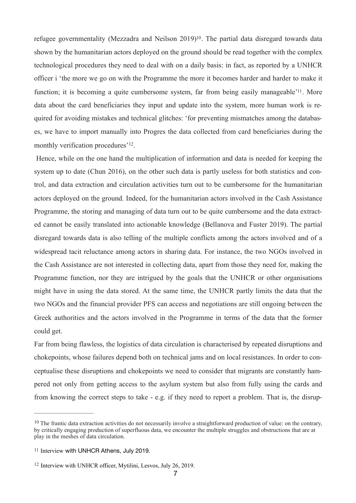<span id="page-7-4"></span><span id="page-7-3"></span>refugee governmentality (Mezzadra and Neilson 2019)<sup>[10](#page-7-0)</sup>. The partial data disregard towards data shown by the humanitarian actors deployed on the ground should be read together with the complex technological procedures they need to deal with on a daily basis: in fact, as reported by a UNHCR officer i 'the more we go on with the Programme the more it becomes harder and harder to make it function; it is becoming a quite cumbersome system, far from being easily manageable<sup>'11</sup>[.](#page-7-1) More data about the card beneficiaries they input and update into the system, more human work is required for avoiding mistakes and technical glitches: 'for preventing mismatches among the databases, we have to import manually into Progres the data collected from card beneficiaries during the monthly verification procedures'<sup>12</sup>[.](#page-7-2)

<span id="page-7-5"></span> Hence, while on the one hand the multiplication of information and data is needed for keeping the system up to date (Chun 2016), on the other such data is partly useless for both statistics and control, and data extraction and circulation activities turn out to be cumbersome for the humanitarian actors deployed on the ground. Indeed, for the humanitarian actors involved in the Cash Assistance Programme, the storing and managing of data turn out to be quite cumbersome and the data extracted cannot be easily translated into actionable knowledge (Bellanova and Fuster 2019). The partial disregard towards data is also telling of the multiple conflicts among the actors involved and of a widespread tacit reluctance among actors in sharing data. For instance, the two NGOs involved in the Cash Assistance are not interested in collecting data, apart from those they need for, making the Programme function, nor they are intrigued by the goals that the UNHCR or other organisations might have in using the data stored. At the same time, the UNHCR partly limits the data that the two NGOs and the financial provider PFS can access and negotiations are still ongoing between the Greek authorities and the actors involved in the Programme in terms of the data that the former could get.

Far from being flawless, the logistics of data circulation is characterised by repeated disruptions and chokepoints, whose failures depend both on technical jams and on local resistances. In order to conceptualise these disruptions and chokepoints we need to consider that migrants are constantly hampered not only from getting access to the asylum system but also from fully using the cards and from knowing the correct steps to take - e.g. if they need to report a problem. That is, the disrup-

<span id="page-7-0"></span> $10$  The frantic data extraction activities do not necessarily involve a straightforward production of value: on the contrary, by critically engaging production of superfluous data, we encounter the multiple struggles and obstructions that are at play in the meshes of data circulation.

<span id="page-7-1"></span>[<sup>11</sup>](#page-7-4) Interview with UNHCR Athens, July 2019.

<span id="page-7-2"></span><sup>&</sup>lt;sup>[12](#page-7-5)</sup> Interview with UNHCR officer, Mytilini, Lesvos, July 26, 2019.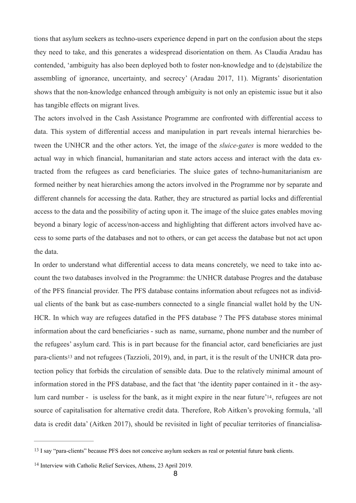tions that asylum seekers as techno-users experience depend in part on the confusion about the steps they need to take, and this generates a widespread disorientation on them. As Claudia Aradau has contended, 'ambiguity has also been deployed both to foster non-knowledge and to (de)stabilize the assembling of ignorance, uncertainty, and secrecy' (Aradau 2017, 11). Migrants' disorientation shows that the non-knowledge enhanced through ambiguity is not only an epistemic issue but it also has tangible effects on migrant lives.

The actors involved in the Cash Assistance Programme are confronted with differential access to data. This system of differential access and manipulation in part reveals internal hierarchies between the UNHCR and the other actors. Yet, the image of the *sluice-gates* is more wedded to the actual way in which financial, humanitarian and state actors access and interact with the data extracted from the refugees as card beneficiaries. The sluice gates of techno-humanitarianism are formed neither by neat hierarchies among the actors involved in the Programme nor by separate and different channels for accessing the data. Rather, they are structured as partial locks and differential access to the data and the possibility of acting upon it. The image of the sluice gates enables moving beyond a binary logic of access/non-access and highlighting that different actors involved have access to some parts of the databases and not to others, or can get access the database but not act upon the data.

<span id="page-8-2"></span>In order to understand what differential access to data means concretely, we need to take into account the two databases involved in the Programme: the UNHCR database Progres and the database of the PFS financial provider. The PFS database contains information about refugees not as individual clients of the bank but as case-numbers connected to a single financial wallet hold by the UN-HCR. In which way are refugees datafied in the PFS database ? The PFS database stores minimal information about the card beneficiaries - such as name, surname, phone number and the number of the refugees' asylum card. This is in part because for the financial actor, card beneficiaries are just para-clients[13](#page-8-0) and not refugees (Tazzioli, 2019), and, in part, it is the result of the UNHCR data protection policy that forbids the circulation of sensible data. Due to the relatively minimal amount of information stored in the PFS database, and the fact that 'the identity paper contained in it - the asylum card number - is useless for the bank, as it might expire in the near future['14](#page-8-1), refugees are not source of capitalisation for alternative credit data. Therefore, Rob Aitken's provoking formula, 'all data is credit data' (Aitken 2017), should be revisited in light of peculiar territories of financialisa-

<span id="page-8-3"></span><span id="page-8-0"></span>[<sup>13</sup>](#page-8-2) I say "para-clients" because PFS does not conceive asylum seekers as real or potential future bank clients.

<span id="page-8-1"></span> $14$  Interview with Catholic Relief Services, Athens, 23 April 2019.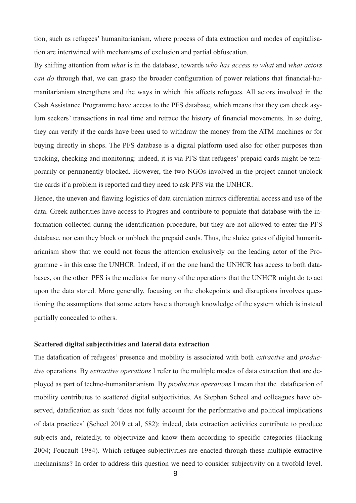tion, such as refugees' humanitarianism, where process of data extraction and modes of capitalisation are intertwined with mechanisms of exclusion and partial obfuscation.

By shifting attention from *what* is in the database, towards *who has access to what* and *what actors can do* through that, we can grasp the broader configuration of power relations that financial-humanitarianism strengthens and the ways in which this affects refugees. All actors involved in the Cash Assistance Programme have access to the PFS database, which means that they can check asylum seekers' transactions in real time and retrace the history of financial movements. In so doing, they can verify if the cards have been used to withdraw the money from the ATM machines or for buying directly in shops. The PFS database is a digital platform used also for other purposes than tracking, checking and monitoring: indeed, it is via PFS that refugees' prepaid cards might be temporarily or permanently blocked. However, the two NGOs involved in the project cannot unblock the cards if a problem is reported and they need to ask PFS via the UNHCR.

Hence, the uneven and flawing logistics of data circulation mirrors differential access and use of the data. Greek authorities have access to Progres and contribute to populate that database with the information collected during the identification procedure, but they are not allowed to enter the PFS database, nor can they block or unblock the prepaid cards. Thus, the sluice gates of digital humanitarianism show that we could not focus the attention exclusively on the leading actor of the Programme - in this case the UNHCR. Indeed, if on the one hand the UNHCR has access to both databases, on the other PFS is the mediator for many of the operations that the UNHCR might do to act upon the data stored. More generally, focusing on the chokepoints and disruptions involves questioning the assumptions that some actors have a thorough knowledge of the system which is instead partially concealed to others.

#### **Scattered digital subjectivities and lateral data extraction**

The datafication of refugees' presence and mobility is associated with both *extractive* and *productive* operations*.* By *extractive operations* I refer to the multiple modes of data extraction that are deployed as part of techno-humanitarianism. By *productive operations* I mean that the datafication of mobility contributes to scattered digital subjectivities. As Stephan Scheel and colleagues have observed, datafication as such 'does not fully account for the performative and political implications of data practices' (Scheel 2019 et al, 582): indeed, data extraction activities contribute to produce subjects and, relatedly, to objectivize and know them according to specific categories (Hacking 2004; Foucault 1984). Which refugee subjectivities are enacted through these multiple extractive mechanisms? In order to address this question we need to consider subjectivity on a twofold level.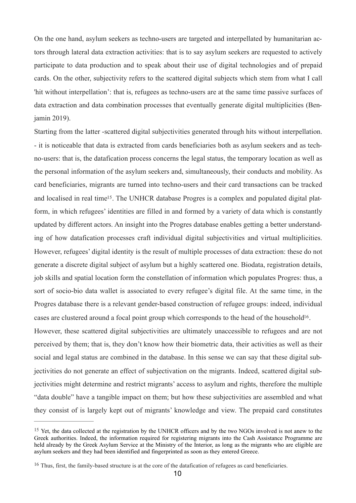On the one hand, asylum seekers as techno-users are targeted and interpellated by humanitarian actors through lateral data extraction activities: that is to say asylum seekers are requested to actively participate to data production and to speak about their use of digital technologies and of prepaid cards. On the other, subjectivity refers to the scattered digital subjects which stem from what I call 'hit without interpellation': that is, refugees as techno-users are at the same time passive surfaces of data extraction and data combination processes that eventually generate digital multiplicities (Benjamin 2019).

<span id="page-10-2"></span>Starting from the latter -scattered digital subjectivities generated through hits without interpellation. - it is noticeable that data is extracted from cards beneficiaries both as asylum seekers and as techno-users: that is, the datafication process concerns the legal status, the temporary location as well as the personal information of the asylum seekers and, simultaneously, their conducts and mobility. As card beneficiaries, migrants are turned into techno-users and their card transactions can be tracked and localised in real time<sup>[15](#page-10-0)</sup>. The UNHCR database Progres is a complex and populated digital platform, in which refugees' identities are filled in and formed by a variety of data which is constantly updated by different actors. An insight into the Progres database enables getting a better understanding of how datafication processes craft individual digital subjectivities and virtual multiplicities. However, refugees' digital identity is the result of multiple processes of data extraction: these do not generate a discrete digital subject of asylum but a highly scattered one. Biodata, registration details, job skills and spatial location form the constellation of information which populates Progres: thus, a sort of socio-bio data wallet is associated to every refugee's digital file. At the same time, in the Progres database there is a relevant gender-based construction of refugee groups: indeed, individual cases are clustered around a focal point group which corresponds to the head of the household<sup>[16](#page-10-1)</sup>.

<span id="page-10-3"></span>However, these scattered digital subjectivities are ultimately unaccessible to refugees and are not perceived by them; that is, they don't know how their biometric data, their activities as well as their social and legal status are combined in the database. In this sense we can say that these digital subjectivities do not generate an effect of subjectivation on the migrants. Indeed, scattered digital subjectivities might determine and restrict migrants' access to asylum and rights, therefore the multiple "data double" have a tangible impact on them; but how these subjectivities are assembled and what they consist of is largely kept out of migrants' knowledge and view. The prepaid card constitutes

<span id="page-10-0"></span><sup>&</sup>lt;sup>[15](#page-10-2)</sup> Yet, the data collected at the registration by the UNHCR officers and by the two NGOs involved is not anew to the Greek authorities. Indeed, the information required for registering migrants into the Cash Assistance Programme are held already by the Greek Asylum Service at the Ministry of the Interior, as long as the migrants who are eligible are asylum seekers and they had been identified and fingerprinted as soon as they entered Greece.

<span id="page-10-1"></span> $16$  Thus, first, the family-based structure is at the core of the datafication of refugees as card beneficiaries.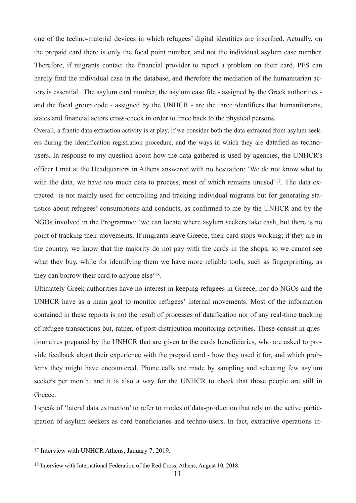one of the techno-material devices in which refugees' digital identities are inscribed. Actually, on the prepaid card there is only the focal point number, and not the individual asylum case number. Therefore, if migrants contact the financial provider to report a problem on their card, PFS can hardly find the individual case in the database, and therefore the mediation of the humanitarian actors is essential.. The asylum card number, the asylum case file - assigned by the Greek authorities and the focal group code - assigned by the UNHCR - are the three identifiers that humanitarians, states and financial actors cross-check in order to trace back to the physical persons.

<span id="page-11-2"></span>Overall, a frantic data extraction activity is at play, if we consider both the data extracted from asylum seekers during the identification registration procedure, and the ways in which they are datafied as technousers. In response to my question about how the data gathered is used by agencies, the UNHCR's officer I met at the Headquarters in Athens answered with no hesitation: 'We do not know what to with the data, we have too much data to process, most of which remains unused'<sup>17</sup>. The data extracted is not mainly used for controlling and tracking individual migrants but for generating statistics about refugees' consumptions and conducts, as confirmed to me by the UNHCR and by the NGOs involved in the Programme: 'we can locate where asylum seekers take cash, but there is no point of tracking their movements. If migrants leave Greece, their card stops working; if they are in the country, we know that the majority do not pay with the cards in the shops, so we cannot see what they buy, while for identifying them we have more reliable tools, such as fingerprinting, as they can borrow their card to anyone else $18$ .

<span id="page-11-3"></span>Ultimately Greek authorities have no interest in keeping refugees in Greece, nor do NGOs and the UNHCR have as a main goal to monitor refugees' internal movements. Most of the information contained in these reports is not the result of processes of datafication nor of any real-time tracking of refugee transactions but, rather, of post-distribution monitoring activities. These consist in questionnaires prepared by the UNHCR that are given to the cards beneficiaries, who are asked to provide feedback about their experience with the prepaid card - how they used it for, and which problems they might have encountered. Phone calls are made by sampling and selecting few asylum seekers per month, and it is also a way for the UNHCR to check that those people are still in Greece.

I speak of 'lateral data extraction' to refer to modes of data-production that rely on the active participation of asylum seekers as card beneficiaries and techno-users. In fact, extractive operations in-

<span id="page-11-0"></span>[<sup>17</sup>](#page-11-2) Interview with UNHCR Athens, January 7, 2019.

<span id="page-11-1"></span> $18$  Interview with International Federation of the Red Cross, Athens, August 10, 2018.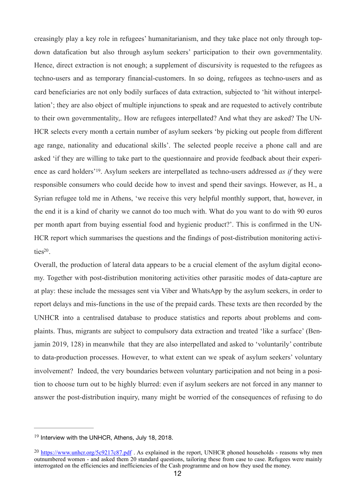creasingly play a key role in refugees' humanitarianism, and they take place not only through topdown datafication but also through asylum seekers' participation to their own governmentality. Hence, direct extraction is not enough; a supplement of discursivity is requested to the refugees as techno-users and as temporary financial-customers. In so doing, refugees as techno-users and as card beneficiaries are not only bodily surfaces of data extraction, subjected to 'hit without interpellation'; they are also object of multiple injunctions to speak and are requested to actively contribute to their own governmentality,. How are refugees interpellated? And what they are asked? The UN-HCR selects every month a certain number of asylum seekers 'by picking out people from different age range, nationality and educational skills'. The selected people receive a phone call and are asked 'if they are willing to take part to the questionnaire and provide feedback about their experi-ence as card holders<sup>'[19](#page-12-0)</sup>. Asylum seekers are interpellated as techno-users addressed *as if* they were responsible consumers who could decide how to invest and spend their savings. However, as H., a Syrian refugee told me in Athens, 'we receive this very helpful monthly support, that, however, in the end it is a kind of charity we cannot do too much with. What do you want to do with 90 euros per month apart from buying essential food and hygienic product?'. This is confirmed in the UN-HCR report which summarises the questions and the findings of post-distribution monitoring activi- $ties^{20}$  $ties^{20}$  $ties^{20}$ .

<span id="page-12-3"></span><span id="page-12-2"></span>Overall, the production of lateral data appears to be a crucial element of the asylum digital economy. Together with post-distribution monitoring activities other parasitic modes of data-capture are at play: these include the messages sent via Viber and WhatsApp by the asylum seekers, in order to report delays and mis-functions in the use of the prepaid cards. These texts are then recorded by the UNHCR into a centralised database to produce statistics and reports about problems and complaints. Thus, migrants are subject to compulsory data extraction and treated 'like a surface' (Benjamin 2019, 128) in meanwhile that they are also interpellated and asked to 'voluntarily' contribute to data-production processes. However, to what extent can we speak of asylum seekers' voluntary involvement? Indeed, the very boundaries between voluntary participation and not being in a position to choose turn out to be highly blurred: even if asylum seekers are not forced in any manner to answer the post-distribution inquiry, many might be worried of the consequences of refusing to do

<span id="page-12-0"></span> $19$  Interview with the UNHCR, Athens, July 18, 2018.

<span id="page-12-1"></span> $\frac{20 \text{ https://www.unher.org/5c9217c87.pdf}}{20 \text{ https://www.unher.org/5c9217c87.pdf}}$  $\frac{20 \text{ https://www.unher.org/5c9217c87.pdf}}{20 \text{ https://www.unher.org/5c9217c87.pdf}}$  $\frac{20 \text{ https://www.unher.org/5c9217c87.pdf}}{20 \text{ https://www.unher.org/5c9217c87.pdf}}$ . As explained in the report, UNHCR phoned households - reasons why men outnumbered women - and asked them 20 standard questions, tailoring these from case to case. Refugees were mainly interrogated on the efficiencies and inefficiencies of the Cash programme and on how they used the money.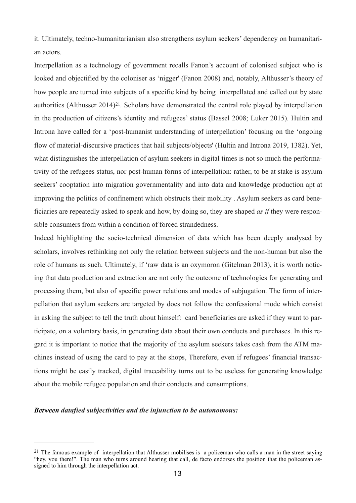it. Ultimately, techno-humanitarianism also strengthens asylum seekers' dependency on humanitarian actors.

<span id="page-13-1"></span>Interpellation as a technology of government recalls Fanon's account of colonised subject who is looked and objectified by the coloniser as 'nigger' (Fanon 2008) and, notably, Althusser's theory of how people are turned into subjects of a specific kind by being interpellated and called out by state authorities (Althusser 2014)<sup>[21](#page-13-0)</sup>. Scholars have demonstrated the central role played by interpellation in the production of citizens's identity and refugees' status (Bassel 2008; Luker 2015). Hultin and Introna have called for a 'post-humanist understanding of interpellation' focusing on the 'ongoing flow of material-discursive practices that hail subjects/objects' (Hultin and Introna 2019, 1382). Yet, what distinguishes the interpellation of asylum seekers in digital times is not so much the performativity of the refugees status, nor post-human forms of interpellation: rather, to be at stake is asylum seekers' cooptation into migration governmentality and into data and knowledge production apt at improving the politics of confinement which obstructs their mobility . Asylum seekers as card beneficiaries are repeatedly asked to speak and how, by doing so, they are shaped *as if* they were responsible consumers from within a condition of forced strandedness.

Indeed highlighting the socio-technical dimension of data which has been deeply analysed by scholars, involves rethinking not only the relation between subjects and the non-human but also the role of humans as such. Ultimately, if 'raw data is an oxymoron (Gitelman 2013), it is worth noticing that data production and extraction are not only the outcome of technologies for generating and processing them, but also of specific power relations and modes of subjugation. The form of interpellation that asylum seekers are targeted by does not follow the confessional mode which consist in asking the subject to tell the truth about himself: card beneficiaries are asked if they want to participate, on a voluntary basis, in generating data about their own conducts and purchases. In this regard it is important to notice that the majority of the asylum seekers takes cash from the ATM machines instead of using the card to pay at the shops, Therefore, even if refugees' financial transactions might be easily tracked, digital traceability turns out to be useless for generating knowledge about the mobile refugee population and their conducts and consumptions.

#### *Between datafied subjectivities and the injunction to be autonomous:*

<span id="page-13-0"></span><sup>&</sup>lt;sup>[21](#page-13-1)</sup> The famous example of interpellation that Althusser mobilises is a policeman who calls a man in the street saying "hey, you there!". The man who turns around hearing that call, de facto endorses the position that the policeman assigned to him through the interpellation act.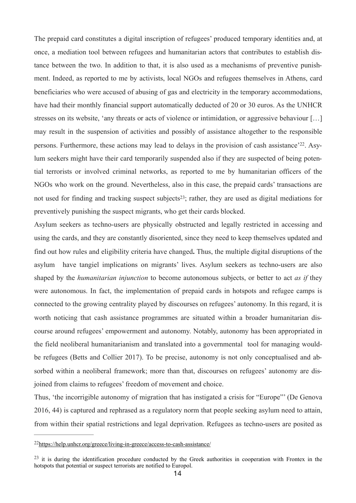The prepaid card constitutes a digital inscription of refugees' produced temporary identities and, at once, a mediation tool between refugees and humanitarian actors that contributes to establish distance between the two. In addition to that, it is also used as a mechanisms of preventive punishment. Indeed, as reported to me by activists, local NGOs and refugees themselves in Athens, card beneficiaries who were accused of abusing of gas and electricity in the temporary accommodations, have had their monthly financial support automatically deducted of 20 or 30 euros. As the UNHCR stresses on its website, 'any threats or acts of violence or intimidation, or aggressive behaviour […] may result in the suspension of activities and possibly of assistance altogether to the responsible persons. Furthermore, these actions may lead to delays in the provision of cash assistance['22](#page-14-0). Asylum seekers might have their card temporarily suspended also if they are suspected of being potential terrorists or involved criminal networks, as reported to me by humanitarian officers of the NGOs who work on the ground. Nevertheless, also in this case, the prepaid cards' transactions are not used for finding and tracking suspect subjects<sup>23</sup>[;](#page-14-1) rather, they are used as digital mediations for preventively punishing the suspect migrants, who get their cards blocked.

<span id="page-14-3"></span><span id="page-14-2"></span>Asylum seekers as techno-users are physically obstructed and legally restricted in accessing and using the cards, and they are constantly disoriented, since they need to keep themselves updated and find out how rules and eligibility criteria have changed**.** Thus, the multiple digital disruptions of the asylum have tangiel implications on migrants' lives. Asylum seekers as techno-users are also shaped by the *humanitarian injunction* to become autonomous subjects, or better to act *as if* they were autonomous. In fact, the implementation of prepaid cards in hotspots and refugee camps is connected to the growing centrality played by discourses on refugees' autonomy. In this regard, it is worth noticing that cash assistance programmes are situated within a broader humanitarian discourse around refugees' empowerment and autonomy. Notably, autonomy has been appropriated in the field neoliberal humanitarianism and translated into a governmental tool for managing wouldbe refugees (Betts and Collier 2017). To be precise, autonomy is not only conceptualised and absorbed within a neoliberal framework; more than that, discourses on refugees' autonomy are disjoined from claims to refugees' freedom of movement and choice.

Thus, 'the incorrigible autonomy of migration that has instigated a crisis for "Europe"' (De Genova 2016, 44) is captured and rephrased as a regulatory norm that people seeking asylum need to attain, from within their spatial restrictions and legal deprivation. Refugees as techno-users are posited as

<span id="page-14-0"></span> $^{22}$  $^{22}$  $^{22}$ <https://help.unhcr.org/greece/living-in-greece/access-to-cash-assistance/>

<span id="page-14-1"></span> $23$  it is during the identification procedure conducted by the Greek authorities in cooperation with Frontex in the hotspots that potential or suspect terrorists are notified to Europol.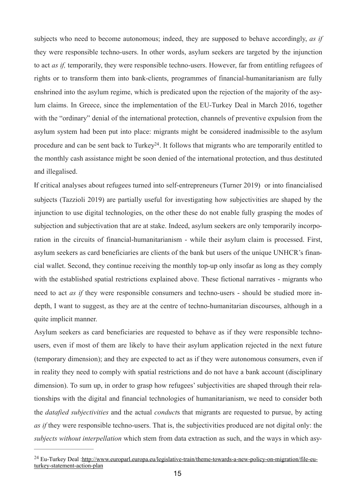subjects who need to become autonomous; indeed, they are supposed to behave accordingly, *as if*  they were responsible techno-users. In other words, asylum seekers are targeted by the injunction to act *as if,* temporarily, they were responsible techno-users. However, far from entitling refugees of rights or to transform them into bank-clients, programmes of financial-humanitarianism are fully enshrined into the asylum regime, which is predicated upon the rejection of the majority of the asylum claims. In Greece, since the implementation of the EU-Turkey Deal in March 2016, together with the "ordinary" denial of the international protection, channels of preventive expulsion from the asylum system had been put into place: migrants might be considered inadmissible to the asylum procedure and can be sent back to Turkey<sup>[24](#page-15-0)</sup>. It follows that migrants who are temporarily entitled to the monthly cash assistance might be soon denied of the international protection, and thus destituted and illegalised.

<span id="page-15-1"></span>If critical analyses about refugees turned into self-entrepreneurs (Turner 2019) or into financialised subjects (Tazzioli 2019) are partially useful for investigating how subjectivities are shaped by the injunction to use digital technologies, on the other these do not enable fully grasping the modes of subjection and subjectivation that are at stake. Indeed, asylum seekers are only temporarily incorporation in the circuits of financial-humanitarianism - while their asylum claim is processed. First, asylum seekers as card beneficiaries are clients of the bank but users of the unique UNHCR's financial wallet. Second, they continue receiving the monthly top-up only insofar as long as they comply with the established spatial restrictions explained above. These fictional narratives - migrants who need to act *as if* they were responsible consumers and techno-users - should be studied more indepth, I want to suggest, as they are at the centre of techno-humanitarian discourses, although in a quite implicit manner.

Asylum seekers as card beneficiaries are requested to behave as if they were responsible technousers, even if most of them are likely to have their asylum application rejected in the next future (temporary dimension); and they are expected to act as if they were autonomous consumers, even if in reality they need to comply with spatial restrictions and do not have a bank account (disciplinary dimension). To sum up, in order to grasp how refugees' subjectivities are shaped through their relationships with the digital and financial technologies of humanitarianism, we need to consider both the *datafied subjectivities* and the actual *conduct*s that migrants are requested to pursue, by acting *as if* they were responsible techno-users. That is, the subjectivities produced are not digital only: the *subjects without interpellation* which stem from data extraction as such, and the ways in which asy-

<span id="page-15-0"></span><sup>&</sup>lt;sup>24</sup> Eu-Turkey Deal [:http://www.europarl.europa.eu/legislative-train/theme-towards-a-new-policy-on-migration/file-eu](http://www.europarl.europa.eu/legislative-train/theme-towards-a-new-policy-on-migration/file-eu-turkey-statement-action-plan) [turkey-statement-action-plan](http://www.europarl.europa.eu/legislative-train/theme-towards-a-new-policy-on-migration/file-eu-turkey-statement-action-plan)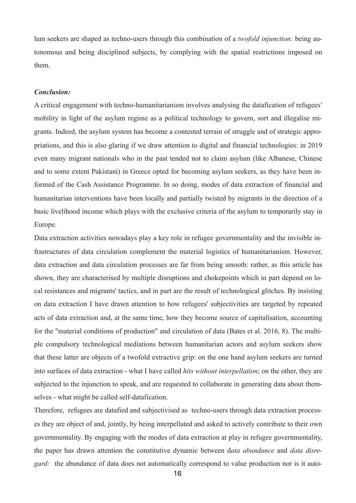lum seekers are shaped as techno-users through this combination of a *twofold injunction:* being autonomous and being disciplined subjects, by complying with the spatial restrictions imposed on them.

#### *Conclusion:*

A critical engagement with techno-humanitarianism involves analysing the datafication of refugees' mobility in light of the asylum regime as a political technology to govern, sort and illegalise migrants. Indeed, the asylum system has become a contested terrain of struggle and of strategic appropriations, and this is also glaring if we draw attention to digital and financial technologies: in 2019 even many migrant nationals who in the past tended not to claim asylum (like Albanese, Chinese and to some extent Pakistani) in Greece opted for becoming asylum seekers, as they have been informed of the Cash Assistance Programme. In so doing, modes of data extraction of financial and humanitarian interventions have been locally and partially twisted by migrants in the direction of a basic livelihood income which plays with the exclusive criteria of the asylum to temporarily stay in Europe.

Data extraction activities nowadays play a key role in refugee governmentality and the invisible infrastructures of data circulation complement the material logistics of humanitarianism. However, data extraction and data circulation processes are far from being smooth: rather, as this article has shown, they are characterised by multiple disruptions and chokepoints which in part depend on local resistances and migrants' tactics, and in part are the result of technological glitches. By insisting on data extraction I have drawn attention to how refugees' subjectivities are targeted by repeated acts of data extraction and, at the same time, how they become source of capitalisation, accounting for the "material conditions of production" and circulation of data (Bates et al. 2016, 8). The multiple compulsory technological mediations between humanitarian actors and asylum seekers show that these latter are objects of a twofold extractive grip: on the one hand asylum seekers are turned into surfaces of data extraction - what I have called *hits without interpellation*; on the other, they are subjected to the injunction to speak, and are requested to collaborate in generating data about themselves - what might be called self-datafication.

Therefore, refugees are datafied and subjectivised as techno-users through data extraction processes they are object of and, jointly, by being interpellated and asked to actively contribute to their own governmentality. By engaging with the modes of data extraction at play in refugee governmentality, the paper has drawn attention the constitutive dynamic between d*ata abundance* and *data disregard:* the abundance of data does not automatically correspond to value production nor is it auto-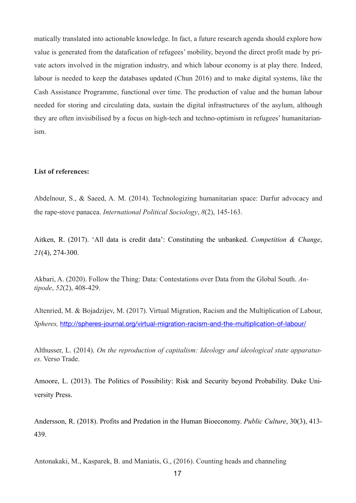matically translated into actionable knowledge. In fact, a future research agenda should explore how value is generated from the datafication of refugees' mobility, beyond the direct profit made by private actors involved in the migration industry, and which labour economy is at play there. Indeed, labour is needed to keep the databases updated (Chun 2016) and to make digital systems, like the Cash Assistance Programme, functional over time. The production of value and the human labour needed for storing and circulating data, sustain the digital infrastructures of the asylum, although they are often invisibilised by a focus on high-tech and techno-optimism in refugees' humanitarianism.

#### **List of references:**

Abdelnour, S., & Saeed, A. M. (2014). Technologizing humanitarian space: Darfur advocacy and the rape‐stove panacea. *International Political Sociology*, *8*(2), 145-163.

Aitken, R. (2017). 'All data is credit data': Constituting the unbanked. *Competition & Change*, *21*(4), 274-300.

Akbari, A. (2020). Follow the Thing: Data: Contestations over Data from the Global South. *Antipode*, *52*(2), 408-429.

Altenried, M. & Bojadzijev, M. (2017). Virtual Migration, Racism and the Multiplication of Labour, *Spheres,* <http://spheres-journal.org/virtual-migration-racism-and-the-multiplication-of-labour/>

Althusser, L. (2014). *On the reproduction of capitalism: Ideology and ideological state apparatuses*. Verso Trade.

Amoore, L. (2013). The Politics of Possibility: Risk and Security beyond Probability. Duke University Press.

Andersson, R. (2018). Profits and Predation in the Human Bioeconomy. *Public Culture*, 30(3), 413- 439.

Antonakaki, M., Kasparek, B. and Maniatis, G., (2016). Counting heads and channeling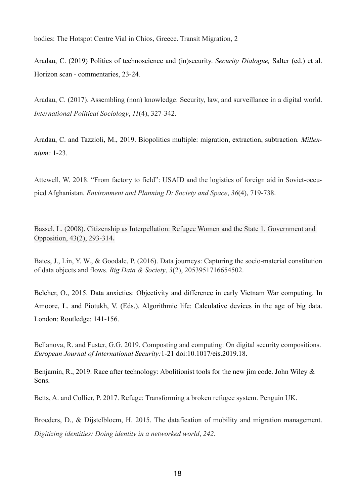bodies: The Hotspot Centre Vial in Chios, Greece. Transit Migration, 2

Aradau, C. (2019) Politics of technoscience and (in)security. *Security Dialogue,* Salter (ed.) et al. Horizon scan - commentaries, 23-24*.* 

Aradau, C. (2017). Assembling (non) knowledge: Security, law, and surveillance in a digital world. *International Political Sociology*, *11*(4), 327-342.

Aradau, C. and Tazzioli, M., 2019. Biopolitics multiple: migration, extraction, subtraction. *Millennium:* 1-23*.* 

Attewell, W. 2018. "From factory to field": USAID and the logistics of foreign aid in Soviet-occupied Afghanistan. *Environment and Planning D: Society and Space*, *36*(4), 719-738.

Bassel, L. (2008). Citizenship as Interpellation: Refugee Women and the State 1. Government and Opposition, 43(2), 293-314.

Bates, J., Lin, Y. W., & Goodale, P. (2016). Data journeys: Capturing the socio-material constitution of data objects and flows. *Big Data & Society*, *3*(2), 2053951716654502.

Belcher, O., 2015. Data anxieties: Objectivity and difference in early Vietnam War computing. In Amoore, L. and Piotukh, V. (Eds.). Algorithmic life: Calculative devices in the age of big data. London: Routledge: 141-156.

Bellanova, R. and Fuster, G.G. 2019. Composting and computing: On digital security compositions. *European Journal of International Security:*1-21 doi:10.1017/eis.2019.18.

Benjamin, R., 2019. Race after technology: Abolitionist tools for the new jim code. John Wiley & Sons.

Betts, A. and Collier, P. 2017. Refuge: Transforming a broken refugee system. Penguin UK.

Broeders, D., & Dijstelbloem, H. 2015. The datafication of mobility and migration management. *Digitizing identities: Doing identity in a networked world*, *242*.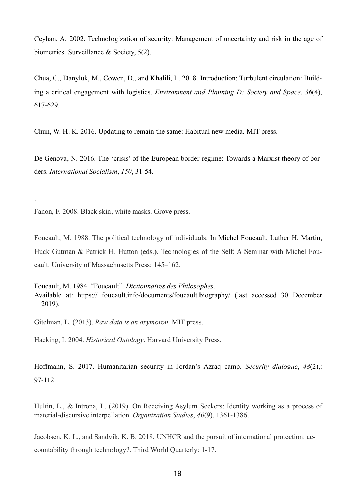Ceyhan, A. 2002. Technologization of security: Management of uncertainty and risk in the age of biometrics. Surveillance & Society, 5(2).

Chua, C., Danyluk, M., Cowen, D., and Khalili, L. 2018. Introduction: Turbulent circulation: Building a critical engagement with logistics. *Environment and Planning D: Society and Space*, *36*(4), 617-629.

Chun, W. H. K. 2016. Updating to remain the same: Habitual new media. MIT press.

De Genova, N. 2016. The 'crisis' of the European border regime: Towards a Marxist theory of borders. *International Socialism*, *150*, 31-54.

Fanon, F. 2008. Black skin, white masks. Grove press.

.

Foucault, M. 1988. The political technology of individuals. In Michel Foucault, Luther H. Martin, Huck Gutman & Patrick H. Hutton (eds.), Technologies of the Self: A Seminar with Michel Foucault. University of Massachusetts Press: 145–162.

Foucault, M. 1984. "Foucault". *Dictionnaires des Philosophes*. Available at: https:// foucault.info/documents/foucault.biography/ (last accessed 30 December 2019).

Gitelman, L. (2013). *Raw data is an oxymoron*. MIT press.

Hacking, I. 2004. *Historical Ontology*. Harvard University Press.

Hoffmann, S. 2017. Humanitarian security in Jordan's Azraq camp. *Security dialogue*, *48*(2),: 97-112.

Hultin, L., & Introna, L. (2019). On Receiving Asylum Seekers: Identity working as a process of material-discursive interpellation. *Organization Studies*, *40*(9), 1361-1386.

Jacobsen, K. L., and Sandvik, K. B. 2018. UNHCR and the pursuit of international protection: accountability through technology?. Third World Quarterly: 1-17.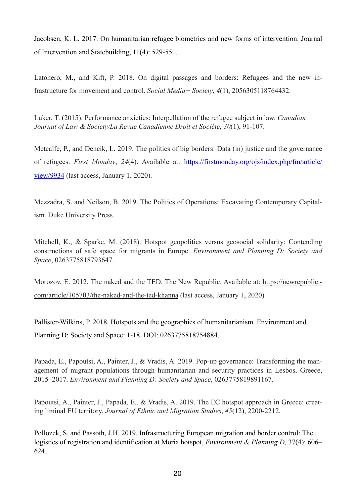Jacobsen, K. L. 2017. On humanitarian refugee biometrics and new forms of intervention. Journal of Intervention and Statebuilding, 11(4): 529-551.

Latonero, M., and Kift, P. 2018. On digital passages and borders: Refugees and the new infrastructure for movement and control. *Social Media+ Society*, *4*(1), 2056305118764432.

Luker, T. (2015). Performance anxieties: Interpellation of the refugee subject in law. *Canadian Journal of Law & Society/La Revue Canadienne Droit et Société*, *30*(1), 91-107.

Metcalfe, P., and Dencik, L. 2019. The politics of big borders: Data (in) justice and the governance of refugees. *First Monday*, *24*(4). Available at: [https://firstmonday.org/ojs/index.php/fm/article/](https://firstmonday.org/ojs/index.php/fm/article/view/9934) [view/9934](https://firstmonday.org/ojs/index.php/fm/article/view/9934) (last access, January 1, 2020).

Mezzadra, S. and Neilson, B. 2019. The Politics of Operations: Excavating Contemporary Capitalism. Duke University Press.

Mitchell, K., & Sparke, M. (2018). Hotspot geopolitics versus geosocial solidarity: Contending constructions of safe space for migrants in Europe. *Environment and Planning D: Society and Space*, 0263775818793647.

Morozov, E. 2012. The naked and the TED. The New Republic. Available at: [https://newrepublic.](https://newrepublic.com/article/105703/the-naked-and-the-ted-khanna)[com/article/105703/the-naked-and-the-ted-khanna](https://newrepublic.com/article/105703/the-naked-and-the-ted-khanna) (last access, January 1, 2020)

Pallister-Wilkins, P. 2018. Hotspots and the geographies of humanitarianism. Environment and Planning D: Society and Space: 1-18. DOI: 0263775818754884.

Papada, E., Papoutsi, A., Painter, J., & Vradis, A. 2019. Pop-up governance: Transforming the management of migrant populations through humanitarian and security practices in Lesbos, Greece, 2015–2017. *Environment and Planning D: Society and Space*, 0263775819891167.

Papoutsi, A., Painter, J., Papada, E., & Vradis, A. 2019. The EC hotspot approach in Greece: creating liminal EU territory. *Journal of Ethnic and Migration Studies*, *45*(12), 2200-2212.

Pollozek, S. and Passoth, J.H. 2019. Infrastructuring European migration and border control: The logistics of registration and identification at Moria hotspot, *Environment & Planning D,* 37(4): 606– 624.